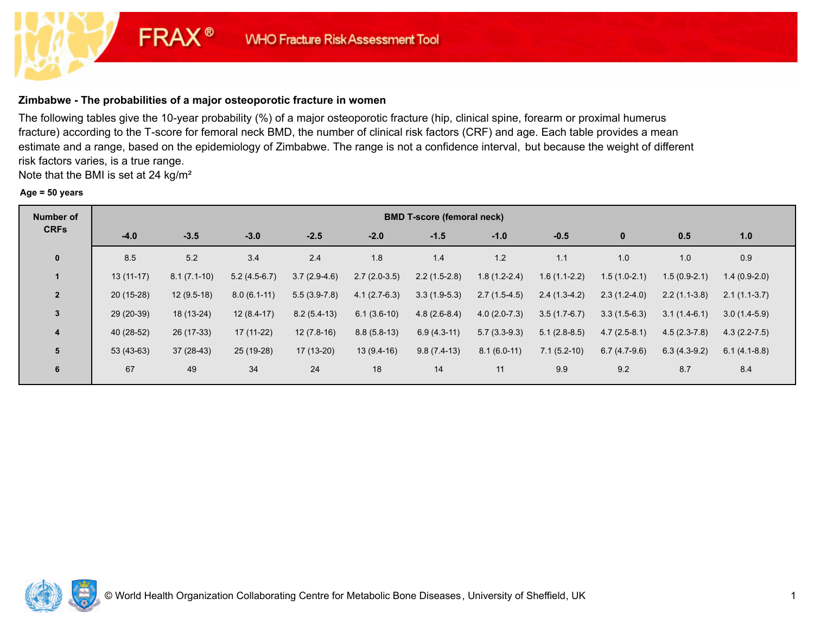# **Zimbabwe - The probabilities of a major osteoporotic fracture in women**

**FRAX®** 

The following tables give the 10-year probability (%) of a major osteoporotic fracture (hip, clinical spine, forearm or proximal humerus fracture) according to the T-score for femoral neck BMD, the number of clinical risk factors (CRF) and age. Each table provides a mean estimate and a range, based on the epidemiology of Zimbabwe. The range is not a confidence interval, but because the weight of different risk factors varies, is a true range.

Note that the BMI is set at 24 kg/m²

#### **Age = 50 years**

| <b>Number of</b> | <b>BMD T-score (femoral neck)</b> |               |                |                |                |                |                |                |                |                |                  |  |  |
|------------------|-----------------------------------|---------------|----------------|----------------|----------------|----------------|----------------|----------------|----------------|----------------|------------------|--|--|
| <b>CRFs</b>      | $-4.0$                            | $-3.5$        | $-3.0$         | $-2.5$         | $-2.0$         | $-1.5$         | $-1.0$         | $-0.5$         | $\mathbf{0}$   | 0.5            | 1.0              |  |  |
| $\mathbf{0}$     | 8.5                               | 5.2           | 3.4            | 2.4            | 1.8            | 1.4            | 1.2            | 1.1            | 1.0            | 1.0            | 0.9              |  |  |
| $\mathbf{1}$     | $13(11-17)$                       | $8.1(7.1-10)$ | $5.2(4.5-6.7)$ | $3.7(2.9-4.6)$ | $2.7(2.0-3.5)$ | $2.2(1.5-2.8)$ | $1.8(1.2-2.4)$ | $1.6(1.1-2.2)$ | $1.5(1.0-2.1)$ | $1.5(0.9-2.1)$ | $1.4(0.9-2.0)$   |  |  |
| $\overline{2}$   | $20(15-28)$                       | $12(9.5-18)$  | $8.0(6.1-11)$  | $5.5(3.9-7.8)$ | $4.1(2.7-6.3)$ | $3.3(1.9-5.3)$ | $2.7(1.5-4.5)$ | $2.4(1.3-4.2)$ | $2.3(1.2-4.0)$ | $2.2(1.1-3.8)$ | $2.1(1.1-3.7)$   |  |  |
| 3                | 29 (20-39)                        | 18 (13-24)    | $12(8.4-17)$   | $8.2(5.4-13)$  | $6.1(3.6-10)$  | $4.8(2.6-8.4)$ | $4.0(2.0-7.3)$ | $3.5(1.7-6.7)$ | $3.3(1.5-6.3)$ | $3.1(1.4-6.1)$ | $3.0(1.4-5.9)$   |  |  |
| 4                | 40 (28-52)                        | 26 (17-33)    | $17(11-22)$    | $12(7.8-16)$   | $8.8(5.8-13)$  | $6.9(4.3-11)$  | $5.7(3.3-9.3)$ | $5.1(2.8-8.5)$ | $4.7(2.5-8.1)$ | $4.5(2.3-7.8)$ | $4.3(2.2 - 7.5)$ |  |  |
| 5                | $53(43-63)$                       | $37(28-43)$   | 25 (19-28)     | 17 (13-20)     | $13(9.4-16)$   | $9.8(7.4-13)$  | $8.1(6.0-11)$  | $7.1(5.2-10)$  | $6.7(4.7-9.6)$ | $6.3(4.3-9.2)$ | $6.1(4.1-8.8)$   |  |  |
| 6                | 67                                | 49            | 34             | 24             | 18             | 14             | 11             | 9.9            | 9.2            | 8.7            | 8.4              |  |  |

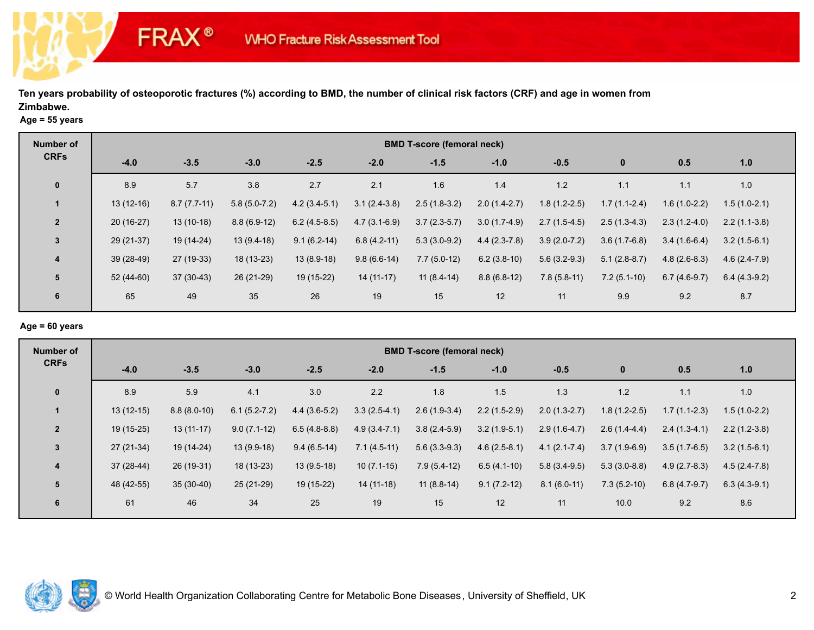### **Age = 55 years**

**FRAX®** 

| <b>Number of</b> |             |               |                |                |                | <b>BMD T-score (femoral neck)</b> |                |                |                |                |                |
|------------------|-------------|---------------|----------------|----------------|----------------|-----------------------------------|----------------|----------------|----------------|----------------|----------------|
| <b>CRFs</b>      | $-4.0$      | $-3.5$        | $-3.0$         | $-2.5$         | $-2.0$         | $-1.5$                            | $-1.0$         | $-0.5$         | $\mathbf 0$    | 0.5            | 1.0            |
| $\mathbf{0}$     | 8.9         | 5.7           | 3.8            | 2.7            | 2.1            | 1.6                               | 1.4            | 1.2            | 1.1            | 1.1            | 1.0            |
|                  | $13(12-16)$ | $8.7(7.7-11)$ | $5.8(5.0-7.2)$ | $4.2(3.4-5.1)$ | $3.1(2.4-3.8)$ | $2.5(1.8-3.2)$                    | $2.0(1.4-2.7)$ | $1.8(1.2-2.5)$ | $1.7(1.1-2.4)$ | $1.6(1.0-2.2)$ | $1.5(1.0-2.1)$ |
| $\overline{2}$   | $20(16-27)$ | $13(10-18)$   | $8.8(6.9-12)$  | $6.2(4.5-8.5)$ | $4.7(3.1-6.9)$ | $3.7(2.3-5.7)$                    | $3.0(1.7-4.9)$ | $2.7(1.5-4.5)$ | $2.5(1.3-4.3)$ | $2.3(1.2-4.0)$ | $2.2(1.1-3.8)$ |
| $\mathbf{3}$     | 29 (21-37)  | $19(14-24)$   | $13(9.4-18)$   | $9.1(6.2-14)$  | $6.8(4.2-11)$  | $5.3(3.0-9.2)$                    | $4.4(2.3-7.8)$ | $3.9(2.0-7.2)$ | $3.6(1.7-6.8)$ | $3.4(1.6-6.4)$ | $3.2(1.5-6.1)$ |
| $\overline{4}$   | 39 (28-49)  | 27 (19-33)    | 18 (13-23)     | $13(8.9-18)$   | $9.8(6.6-14)$  | $7.7(5.0-12)$                     | $6.2(3.8-10)$  | $5.6(3.2-9.3)$ | $5.1(2.8-8.7)$ | $4.8(2.6-8.3)$ | $4.6(2.4-7.9)$ |
| 5                | 52 (44-60)  | $37(30-43)$   | 26 (21-29)     | 19 (15-22)     | $14(11-17)$    | $11(8.4-14)$                      | $8.8(6.8-12)$  | $7.8(5.8-11)$  | $7.2(5.1-10)$  | $6.7(4.6-9.7)$ | $6.4(4.3-9.2)$ |
| 6                | 65          | 49            | 35             | 26             | 19             | 15                                | 12             | 11             | 9.9            | 9.2            | 8.7            |

# **Age = 60 years**

| Number of               | <b>BMD T-score (femoral neck)</b> |               |                |                |                |                |                |                  |                |                |                |  |  |
|-------------------------|-----------------------------------|---------------|----------------|----------------|----------------|----------------|----------------|------------------|----------------|----------------|----------------|--|--|
| <b>CRFs</b>             | $-4.0$                            | $-3.5$        | $-3.0$         | $-2.5$         | $-2.0$         | $-1.5$         | $-1.0$         | $-0.5$           | $\bf{0}$       | 0.5            | 1.0            |  |  |
| $\mathbf 0$             | 8.9                               | 5.9           | 4.1            | 3.0            | 2.2            | 1.8            | 1.5            | 1.3              | 1.2            | 1.1            | 1.0            |  |  |
|                         | $13(12-15)$                       | $8.8(8.0-10)$ | $6.1(5.2-7.2)$ | $4.4(3.6-5.2)$ | $3.3(2.5-4.1)$ | $2.6(1.9-3.4)$ | $2.2(1.5-2.9)$ | $2.0(1.3-2.7)$   | $1.8(1.2-2.5)$ | $1.7(1.1-2.3)$ | $1.5(1.0-2.2)$ |  |  |
| $\overline{2}$          | 19 (15-25)                        | $13(11-17)$   | $9.0(7.1-12)$  | $6.5(4.8-8.8)$ | $4.9(3.4-7.1)$ | $3.8(2.4-5.9)$ | $3.2(1.9-5.1)$ | $2.9(1.6-4.7)$   | $2.6(1.4-4.4)$ | $2.4(1.3-4.1)$ | $2.2(1.2-3.8)$ |  |  |
| $\mathbf{3}$            | $27(21-34)$                       | 19 (14-24)    | $13(9.9-18)$   | $9.4(6.5-14)$  | $7.1(4.5-11)$  | $5.6(3.3-9.3)$ | $4.6(2.5-8.1)$ | $4.1(2.1 - 7.4)$ | $3.7(1.9-6.9)$ | $3.5(1.7-6.5)$ | $3.2(1.5-6.1)$ |  |  |
| $\overline{\mathbf{4}}$ | 37 (28-44)                        | 26 (19-31)    | $18(13-23)$    | $13(9.5-18)$   | $10(7.1-15)$   | $7.9(5.4-12)$  | $6.5(4.1-10)$  | $5.8(3.4-9.5)$   | $5.3(3.0-8.8)$ | $4.9(2.7-8.3)$ | $4.5(2.4-7.8)$ |  |  |
| 5                       | 48 (42-55)                        | $35(30-40)$   | $25(21-29)$    | 19 (15-22)     | $14(11-18)$    | $11(8.8-14)$   | $9.1(7.2-12)$  | $8.1(6.0-11)$    | $7.3(5.2-10)$  | $6.8(4.7-9.7)$ | $6.3(4.3-9.1)$ |  |  |
| 6                       | 61                                | 46            | 34             | 25             | 19             | 15             | 12             | 11               | 10.0           | 9.2            | 8.6            |  |  |

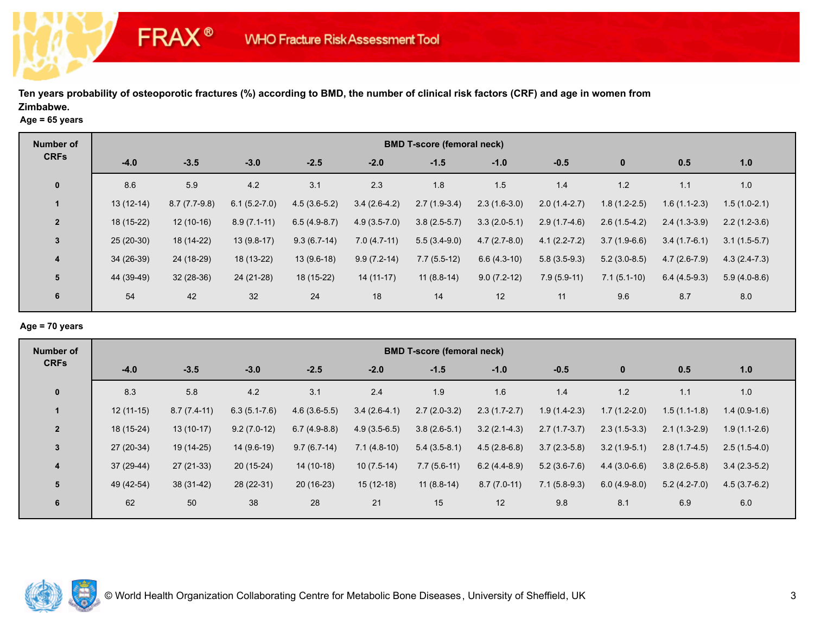### **Age = 65 years**

**FRAX®** 

| <b>Number of</b> |             |                |                |                |                | <b>BMD T-score (femoral neck)</b> |                |                  |                |                |                |
|------------------|-------------|----------------|----------------|----------------|----------------|-----------------------------------|----------------|------------------|----------------|----------------|----------------|
| <b>CRFs</b>      | $-4.0$      | $-3.5$         | $-3.0$         | $-2.5$         | $-2.0$         | $-1.5$                            | $-1.0$         | $-0.5$           | $\mathbf 0$    | 0.5            | 1.0            |
| $\mathbf{0}$     | 8.6         | 5.9            | 4.2            | 3.1            | 2.3            | 1.8                               | 1.5            | 1.4              | 1.2            | 1.1            | 1.0            |
|                  | $13(12-14)$ | $8.7(7.7-9.8)$ | $6.1(5.2-7.0)$ | $4.5(3.6-5.2)$ | $3.4(2.6-4.2)$ | $2.7(1.9-3.4)$                    | $2.3(1.6-3.0)$ | $2.0(1.4-2.7)$   | $1.8(1.2-2.5)$ | $1.6(1.1-2.3)$ | $1.5(1.0-2.1)$ |
| $\overline{2}$   | 18 (15-22)  | $12(10-16)$    | $8.9(7.1-11)$  | $6.5(4.9-8.7)$ | $4.9(3.5-7.0)$ | $3.8(2.5-5.7)$                    | $3.3(2.0-5.1)$ | $2.9(1.7-4.6)$   | $2.6(1.5-4.2)$ | $2.4(1.3-3.9)$ | $2.2(1.2-3.6)$ |
| 3                | $25(20-30)$ | 18 (14-22)     | $13(9.8-17)$   | $9.3(6.7-14)$  | $7.0(4.7-11)$  | $5.5(3.4-9.0)$                    | $4.7(2.7-8.0)$ | $4.1(2.2 - 7.2)$ | $3.7(1.9-6.6)$ | $3.4(1.7-6.1)$ | $3.1(1.5-5.7)$ |
| $\overline{4}$   | 34 (26-39)  | 24 (18-29)     | 18 (13-22)     | $13(9.6-18)$   | $9.9(7.2-14)$  | $7.7(5.5-12)$                     | $6.6(4.3-10)$  | $5.8(3.5-9.3)$   | $5.2(3.0-8.5)$ | $4.7(2.6-7.9)$ | $4.3(2.4-7.3)$ |
| 5                | 44 (39-49)  | $32(28-36)$    | 24 (21-28)     | 18 (15-22)     | $14(11-17)$    | $11(8.8-14)$                      | $9.0(7.2-12)$  | $7.9(5.9-11)$    | $7.1(5.1-10)$  | $6.4(4.5-9.3)$ | $5.9(4.0-8.6)$ |
| 6                | 54          | 42             | 32             | 24             | 18             | 14                                | 12             | 11               | 9.6            | 8.7            | 8.0            |

# **Age = 70 years**

| Number of               | <b>BMD T-score (femoral neck)</b> |               |                  |                |                |                |                |                |                |                |                |  |  |
|-------------------------|-----------------------------------|---------------|------------------|----------------|----------------|----------------|----------------|----------------|----------------|----------------|----------------|--|--|
| <b>CRFs</b>             | $-4.0$                            | $-3.5$        | $-3.0$           | $-2.5$         | $-2.0$         | $-1.5$         | $-1.0$         | $-0.5$         | $\bf{0}$       | 0.5            | 1.0            |  |  |
| $\mathbf 0$             | 8.3                               | 5.8           | 4.2              | 3.1            | 2.4            | 1.9            | 1.6            | 1.4            | 1.2            | 1.1            | 1.0            |  |  |
|                         | $12(11-15)$                       | $8.7(7.4-11)$ | $6.3(5.1 - 7.6)$ | $4.6(3.6-5.5)$ | $3.4(2.6-4.1)$ | $2.7(2.0-3.2)$ | $2.3(1.7-2.7)$ | $1.9(1.4-2.3)$ | $1.7(1.2-2.0)$ | $1.5(1.1-1.8)$ | $1.4(0.9-1.6)$ |  |  |
| $\overline{2}$          | 18 (15-24)                        | $13(10-17)$   | $9.2(7.0-12)$    | $6.7(4.9-8.8)$ | $4.9(3.5-6.5)$ | $3.8(2.6-5.1)$ | $3.2(2.1-4.3)$ | $2.7(1.7-3.7)$ | $2.3(1.5-3.3)$ | $2.1(1.3-2.9)$ | $1.9(1.1-2.6)$ |  |  |
| $\mathbf{3}$            | $27(20-34)$                       | 19 (14-25)    | 14 (9.6-19)      | $9.7(6.7-14)$  | $7.1(4.8-10)$  | $5.4(3.5-8.1)$ | $4.5(2.8-6.8)$ | $3.7(2.3-5.8)$ | $3.2(1.9-5.1)$ | $2.8(1.7-4.5)$ | $2.5(1.5-4.0)$ |  |  |
| $\overline{\mathbf{4}}$ | 37 (29-44)                        | 27 (21-33)    | $20(15-24)$      | $14(10-18)$    | $10(7.5-14)$   | $7.7(5.6-11)$  | $6.2(4.4-8.9)$ | $5.2(3.6-7.6)$ | $4.4(3.0-6.6)$ | $3.8(2.6-5.8)$ | $3.4(2.3-5.2)$ |  |  |
| 5                       | 49 (42-54)                        | $38(31-42)$   | 28 (22-31)       | $20(16-23)$    | $15(12-18)$    | $11(8.8-14)$   | $8.7(7.0-11)$  | $7.1(5.8-9.3)$ | $6.0(4.9-8.0)$ | $5.2(4.2-7.0)$ | $4.5(3.7-6.2)$ |  |  |
| 6                       | 62                                | 50            | 38               | 28             | 21             | 15             | 12             | 9.8            | 8.1            | 6.9            | 6.0            |  |  |

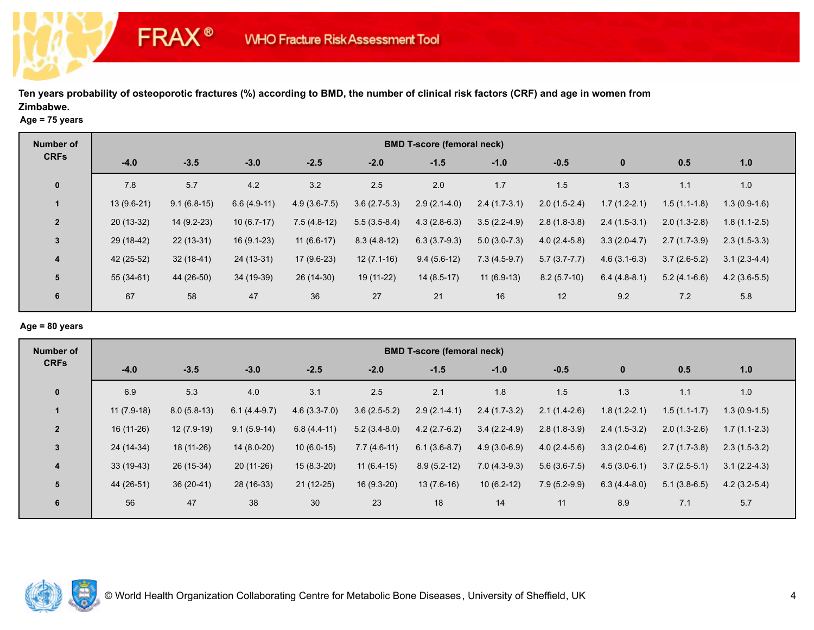**Age = 75 years**

**FRAX®** 

| <b>Number of</b> |             |               |               |                |                | <b>BMD T-score (femoral neck)</b> |                |                |                |                |                |
|------------------|-------------|---------------|---------------|----------------|----------------|-----------------------------------|----------------|----------------|----------------|----------------|----------------|
| <b>CRFs</b>      | $-4.0$      | $-3.5$        | $-3.0$        | $-2.5$         | $-2.0$         | $-1.5$                            | $-1.0$         | $-0.5$         | $\bf{0}$       | 0.5            | 1.0            |
| $\mathbf 0$      | 7.8         | 5.7           | 4.2           | 3.2            | 2.5            | 2.0                               | 1.7            | 1.5            | 1.3            | 1.1            | 1.0            |
|                  | 13 (9.6-21) | $9.1(6.8-15)$ | $6.6(4.9-11)$ | $4.9(3.6-7.5)$ | $3.6(2.7-5.3)$ | $2.9(2.1-4.0)$                    | $2.4(1.7-3.1)$ | $2.0(1.5-2.4)$ | $1.7(1.2-2.1)$ | $1.5(1.1-1.8)$ | $1.3(0.9-1.6)$ |
| $\overline{2}$   | $20(13-32)$ | 14 (9.2-23)   | $10(6.7-17)$  | $7.5(4.8-12)$  | $5.5(3.5-8.4)$ | $4.3(2.8-6.3)$                    | $3.5(2.2-4.9)$ | $2.8(1.8-3.8)$ | $2.4(1.5-3.1)$ | $2.0(1.3-2.8)$ | $1.8(1.1-2.5)$ |
| $\mathbf{3}$     | 29 (18-42)  | 22 (13-31)    | 16 (9.1-23)   | $11(6.6-17)$   | $8.3(4.8-12)$  | $6.3(3.7-9.3)$                    | $5.0(3.0-7.3)$ | $4.0(2.4-5.8)$ | $3.3(2.0-4.7)$ | $2.7(1.7-3.9)$ | $2.3(1.5-3.3)$ |
| $\overline{4}$   | 42 (25-52)  | $32(18-41)$   | 24 (13-31)    | $17(9.6-23)$   | $12(7.1-16)$   | $9.4(5.6-12)$                     | $7.3(4.5-9.7)$ | $5.7(3.7-7.7)$ | $4.6(3.1-6.3)$ | $3.7(2.6-5.2)$ | $3.1(2.3-4.4)$ |
| 5                | 55 (34-61)  | 44 (26-50)    | 34 (19-39)    | 26 (14-30)     | 19 (11-22)     | $14(8.5-17)$                      | $11(6.9-13)$   | $8.2(5.7-10)$  | $6.4(4.8-8.1)$ | $5.2(4.1-6.6)$ | $4.2(3.6-5.5)$ |
| 6                | 67          | 58            | 47            | 36             | 27             | 21                                | 16             | 12             | 9.2            | 7.2            | 5.8            |

# **Age = 80 years**

| Number of               | <b>BMD T-score (femoral neck)</b> |               |                |                |                |                |                |                |                |                |                |  |  |
|-------------------------|-----------------------------------|---------------|----------------|----------------|----------------|----------------|----------------|----------------|----------------|----------------|----------------|--|--|
| <b>CRFs</b>             | $-4.0$                            | $-3.5$        | $-3.0$         | $-2.5$         | $-2.0$         | $-1.5$         | $-1.0$         | $-0.5$         | $\bf{0}$       | 0.5            | 1.0            |  |  |
| $\mathbf 0$             | 6.9                               | 5.3           | 4.0            | 3.1            | 2.5            | 2.1            | 1.8            | 1.5            | 1.3            | 1.1            | 1.0            |  |  |
| -1                      | $11(7.9-18)$                      | $8.0(5.8-13)$ | $6.1(4.4-9.7)$ | $4.6(3.3-7.0)$ | $3.6(2.5-5.2)$ | $2.9(2.1-4.1)$ | $2.4(1.7-3.2)$ | $2.1(1.4-2.6)$ | $1.8(1.2-2.1)$ | $1.5(1.1-1.7)$ | $1.3(0.9-1.5)$ |  |  |
| $\overline{2}$          | $16(11-26)$                       | 12 (7.9-19)   | $9.1(5.9-14)$  | $6.8(4.4-11)$  | $5.2(3.4-8.0)$ | $4.2(2.7-6.2)$ | $3.4(2.2-4.9)$ | $2.8(1.8-3.9)$ | $2.4(1.5-3.2)$ | $2.0(1.3-2.6)$ | $1.7(1.1-2.3)$ |  |  |
| $\mathbf{3}$            | 24 (14-34)                        | 18 (11-26)    | $14(8.0-20)$   | $10(6.0-15)$   | $7.7(4.6-11)$  | $6.1(3.6-8.7)$ | $4.9(3.0-6.9)$ | $4.0(2.4-5.6)$ | $3.3(2.0-4.6)$ | $2.7(1.7-3.8)$ | $2.3(1.5-3.2)$ |  |  |
| $\overline{\mathbf{4}}$ | $33(19-43)$                       | 26 (15-34)    | $20(11-26)$    | $15(8.3-20)$   | $11(6.4-15)$   | $8.9(5.2-12)$  | $7.0(4.3-9.3)$ | $5.6(3.6-7.5)$ | $4.5(3.0-6.1)$ | $3.7(2.5-5.1)$ | $3.1(2.2-4.3)$ |  |  |
| 5                       | 44 (26-51)                        | $36(20-41)$   | 28 (16-33)     | $21(12-25)$    | $16(9.3-20)$   | $13(7.6-16)$   | $10(6.2-12)$   | $7.9(5.2-9.9)$ | $6.3(4.4-8.0)$ | $5.1(3.8-6.5)$ | $4.2(3.2-5.4)$ |  |  |
| 6                       | 56                                | 47            | 38             | 30             | 23             | 18             | 14             | 11             | 8.9            | 7.1            | 5.7            |  |  |